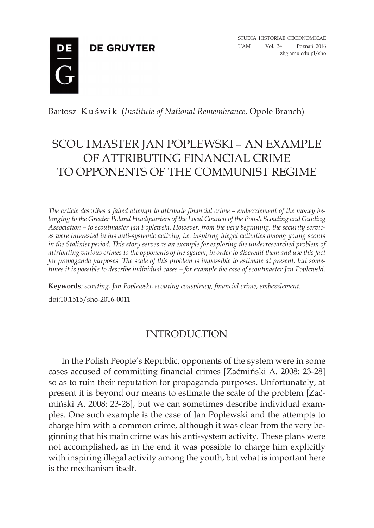# **DE GRUYTER**



Bartosz Kuświk (*Institute of National Remembrance*, Opole Branch)

# SCOUTMASTER JAN POPLEWSKI – AN EXAMPLE OF ATTRIBUTING FINANCIAL CRIME TO OPPONENTS OF THE COMMUNIST REGIME

*The article describes a failed attempt to attribute financial crime – embezzlement of the money belonging to the Greater Poland Headquarters of the Local Council of the Polish Scouting and Guiding Association – to scoutmaster Jan Poplewski. However, from the very beginning, the security services were interested in his anti-systemic activity, i.e. inspiring illegal activities among young scouts in the Stalinist period. This story serves as an example for exploring the underresearched problem of attributing various crimes to the opponents of the system, in order to discredit them and use this fact for propaganda purposes. The scale of this problem is impossible to estimate at present, but sometimes it is possible to describe individual cases – for example the case of scoutmaster Jan Poplewski.*

**Keywords***: scouting, Jan Poplewski, scouting conspiracy, financial crime, embezzlement.* 

doi:10.1515/sho-2016-0011

# INTRODUCTION

In the Polish People's Republic, opponents of the system were in some cases accused of committing financial crimes [Zaćmiński A. 2008: 23-28] so as to ruin their reputation for propaganda purposes. Unfortunately, at present it is beyond our means to estimate the scale of the problem [Zaćmiński A. 2008: 23-28], but we can sometimes describe individual examples. One such example is the case of Jan Poplewski and the attempts to charge him with a common crime, although it was clear from the very beginning that his main crime was his anti-system activity. These plans were not accomplished, as in the end it was possible to charge him explicitly with inspiring illegal activity among the youth, but what is important here is the mechanism itself.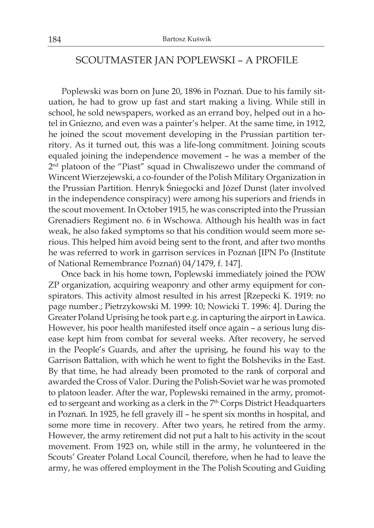### SCOUTMASTER JAN POPLEWSKI – A PROFILE

Poplewski was born on June 20, 1896 in Poznań. Due to his family situation, he had to grow up fast and start making a living. While still in school, he sold newspapers, worked as an errand boy, helped out in a hotel in Gniezno, and even was a painter's helper. At the same time, in 1912, he joined the scout movement developing in the Prussian partition territory. As it turned out, this was a life-long commitment. Joining scouts equaled joining the independence movement – he was a member of the 2nd platoon of the "Piast" squad in Chwaliszewo under the command of Wincent Wierzejewski, a co-founder of the Polish Military Organization in the Prussian Partition. Henryk Śniegocki and Józef Dunst (later involved in the independence conspiracy) were among his superiors and friends in the scout movement. In October 1915, he was conscripted into the Prussian Grenadiers Regiment no. 6 in Wschowa. Although his health was in fact weak, he also faked symptoms so that his condition would seem more serious. This helped him avoid being sent to the front, and after two months he was referred to work in garrison services in Poznań [IPN Po (Institute of National Remembrance Poznań) 04/1479, f. 147].

Once back in his home town, Poplewski immediately joined the POW ZP organization, acquiring weaponry and other army equipment for conspirators. This activity almost resulted in his arrest [Rzepecki K. 1919: no page number.; Pietrzykowski M. 1999: 10; Nowicki T. 1996: 4]. During the Greater Poland Uprising he took part e.g. in capturing the airport in Ławica. However, his poor health manifested itself once again – a serious lung disease kept him from combat for several weeks. After recovery, he served in the People's Guards, and after the uprising, he found his way to the Garrison Battalion, with which he went to fight the Bolsheviks in the East. By that time, he had already been promoted to the rank of corporal and awarded the Cross of Valor. During the Polish-Soviet war he was promoted to platoon leader. After the war, Poplewski remained in the army, promoted to sergeant and working as a clerk in the 7<sup>th</sup> Corps District Headquarters in Poznań. In 1925, he fell gravely ill – he spent six months in hospital, and some more time in recovery. After two years, he retired from the army. However, the army retirement did not put a halt to his activity in the scout movement. From 1923 on, while still in the army, he volunteered in the Scouts' Greater Poland Local Council, therefore, when he had to leave the army, he was offered employment in the The Polish Scouting and Guiding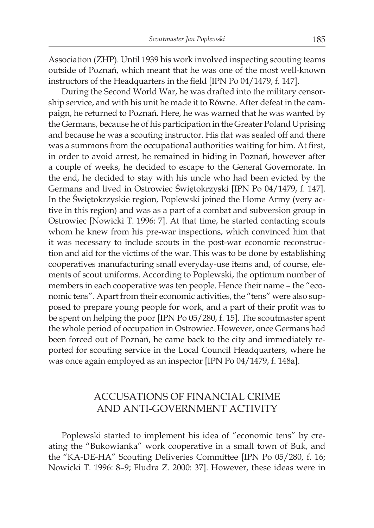Association (ZHP). Until 1939 his work involved inspecting scouting teams outside of Poznań, which meant that he was one of the most well-known instructors of the Headquarters in the field [IPN Po 04/1479, f. 147].

During the Second World War, he was drafted into the military censorship service, and with his unit he made it to Równe. After defeat in the campaign, he returned to Poznań. Here, he was warned that he was wanted by the Germans, because he of his participation in the Greater Poland Uprising and because he was a scouting instructor. His flat was sealed off and there was a summons from the occupational authorities waiting for him. At first, in order to avoid arrest, he remained in hiding in Poznań, however after a couple of weeks, he decided to escape to the General Governorate. In the end, he decided to stay with his uncle who had been evicted by the Germans and lived in Ostrowiec Świętokrzyski [IPN Po 04/1479, f. 147]. In the Świętokrzyskie region, Poplewski joined the Home Army (very active in this region) and was as a part of a combat and subversion group in Ostrowiec [Nowicki T. 1996: 7]. At that time, he started contacting scouts whom he knew from his pre-war inspections, which convinced him that it was necessary to include scouts in the post-war economic reconstruction and aid for the victims of the war. This was to be done by establishing cooperatives manufacturing small everyday-use items and, of course, elements of scout uniforms. According to Poplewski, the optimum number of members in each cooperative was ten people. Hence their name – the "economic tens". Apart from their economic activities, the "tens" were also supposed to prepare young people for work, and a part of their profit was to be spent on helping the poor [IPN Po 05/280, f. 15]. The scoutmaster spent the whole period of occupation in Ostrowiec. However, once Germans had been forced out of Poznań, he came back to the city and immediately reported for scouting service in the Local Council Headquarters, where he was once again employed as an inspector [IPN Po 04/1479, f. 148a].

### ACCUSATIONS OF FINANCIAL CRIME AND ANTI-GOVERNMENT ACTIVITY

Poplewski started to implement his idea of "economic tens" by creating the "Bukowianka" work cooperative in a small town of Buk, and the "KA-DE-HA" Scouting Deliveries Committee [IPN Po 05/280, f. 16; Nowicki T. 1996: 8–9; Fludra Z. 2000: 37]. However, these ideas were in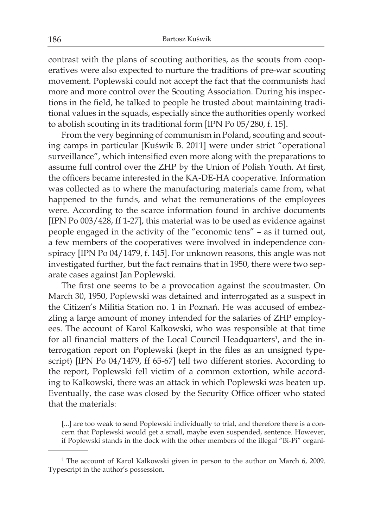contrast with the plans of scouting authorities, as the scouts from cooperatives were also expected to nurture the traditions of pre-war scouting movement. Poplewski could not accept the fact that the communists had more and more control over the Scouting Association. During his inspections in the field, he talked to people he trusted about maintaining traditional values in the squads, especially since the authorities openly worked to abolish scouting in its traditional form [IPN Po 05/280, f. 15].

From the very beginning of communism in Poland, scouting and scouting camps in particular [Kuświk B. 2011] were under strict "operational surveillance", which intensified even more along with the preparations to assume full control over the ZHP by the Union of Polish Youth. At first, the officers became interested in the KA-DE-HA cooperative. Information was collected as to where the manufacturing materials came from, what happened to the funds, and what the remunerations of the employees were. According to the scarce information found in archive documents [IPN Po 003/428, ff 1-27], this material was to be used as evidence against people engaged in the activity of the "economic tens" – as it turned out, a few members of the cooperatives were involved in independence conspiracy [IPN Po 04/1479, f. 145]. For unknown reasons, this angle was not investigated further, but the fact remains that in 1950, there were two separate cases against Jan Poplewski.

The first one seems to be a provocation against the scoutmaster. On March 30, 1950, Poplewski was detained and interrogated as a suspect in the Citizen's Militia Station no. 1 in Poznań. He was accused of embezzling a large amount of money intended for the salaries of ZHP employees. The account of Karol Kalkowski, who was responsible at that time for all financial matters of the Local Council Headquarters<sup>1</sup>, and the interrogation report on Poplewski (kept in the files as an unsigned typescript) [IPN Po 04/1479, ff 65-67] tell two different stories. According to the report, Poplewski fell victim of a common extortion, while according to Kalkowski, there was an attack in which Poplewski was beaten up. Eventually, the case was closed by the Security Office officer who stated that the materials:

[...] are too weak to send Poplewski individually to trial, and therefore there is a concern that Poplewski would get a small, maybe even suspended, sentence. However, if Poplewski stands in the dock with the other members of the illegal "Bi-Pi" organi-

<sup>1</sup> The account of Karol Kalkowski given in person to the author on March 6, 2009. Typescript in the author's possession.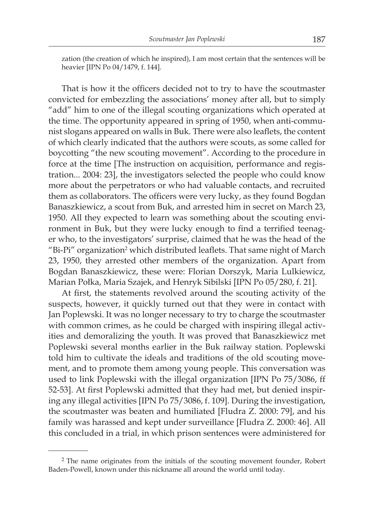zation (the creation of which he inspired), I am most certain that the sentences will be heavier [IPN Po 04/1479, f. 144].

That is how it the officers decided not to try to have the scoutmaster convicted for embezzling the associations' money after all, but to simply "add" him to one of the illegal scouting organizations which operated at the time. The opportunity appeared in spring of 1950, when anti-communist slogans appeared on walls in Buk. There were also leaflets, the content of which clearly indicated that the authors were scouts, as some called for boycotting "the new scouting movement". According to the procedure in force at the time [The instruction on acquisition, performance and registration... 2004: 23], the investigators selected the people who could know more about the perpetrators or who had valuable contacts, and recruited them as collaborators. The officers were very lucky, as they found Bogdan Banaszkiewicz, a scout from Buk, and arrested him in secret on March 23, 1950. All they expected to learn was something about the scouting environment in Buk, but they were lucky enough to find a terrified teenager who, to the investigators' surprise, claimed that he was the head of the  $\mathrm{``Bi-Pi''}$  organization $\mathrm{^{2}}$  which distributed leaflets. That same night of March 23, 1950, they arrested other members of the organization. Apart from Bogdan Banaszkiewicz, these were: Florian Dorszyk, Maria Lulkiewicz, Marian Połka, Maria Szajek, and Henryk Sibilski [IPN Po 05/280, f. 21].

At first, the statements revolved around the scouting activity of the suspects, however, it quickly turned out that they were in contact with Jan Poplewski. It was no longer necessary to try to charge the scoutmaster with common crimes, as he could be charged with inspiring illegal activities and demoralizing the youth. It was proved that Banaszkiewicz met Poplewski several months earlier in the Buk railway station. Poplewski told him to cultivate the ideals and traditions of the old scouting movement, and to promote them among young people. This conversation was used to link Poplewski with the illegal organization [IPN Po 75/3086, ff 52-53]. At first Poplewski admitted that they had met, but denied inspiring any illegal activities [IPN Po 75/3086, f. 109]. During the investigation, the scoutmaster was beaten and humiliated [Fludra Z. 2000: 79], and his family was harassed and kept under surveillance [Fludra Z. 2000: 46]. All this concluded in a trial, in which prison sentences were administered for

<sup>&</sup>lt;sup>2</sup> The name originates from the initials of the scouting movement founder, Robert Baden-Powell, known under this nickname all around the world until today.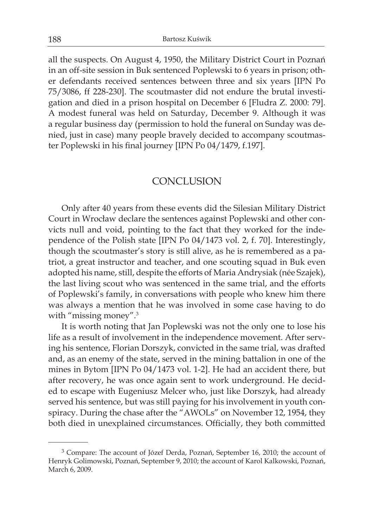all the suspects. On August 4, 1950, the Military District Court in Poznań in an off-site session in Buk sentenced Poplewski to 6 years in prison; other defendants received sentences between three and six years [IPN Po 75/3086, ff 228-230]. The scoutmaster did not endure the brutal investigation and died in a prison hospital on December 6 [Fludra Z. 2000: 79]. A modest funeral was held on Saturday, December 9. Although it was a regular business day (permission to hold the funeral on Sunday was denied, just in case) many people bravely decided to accompany scoutmaster Poplewski in his final journey [IPN Po 04/1479, f.197].

### CONCLUSION

Only after 40 years from these events did the Silesian Military District Court in Wrocław declare the sentences against Poplewski and other convicts null and void, pointing to the fact that they worked for the independence of the Polish state [IPN Po 04/1473 vol. 2, f. 70]. Interestingly, though the scoutmaster's story is still alive, as he is remembered as a patriot, a great instructor and teacher, and one scouting squad in Buk even adopted his name, still, despite the efforts of Maria Andrysiak (née Szajek), the last living scout who was sentenced in the same trial, and the efforts of Poplewski's family, in conversations with people who knew him there was always a mention that he was involved in some case having to do with "missing money".<sup>3</sup>

It is worth noting that Jan Poplewski was not the only one to lose his life as a result of involvement in the independence movement. After serving his sentence, Florian Dorszyk, convicted in the same trial, was drafted and, as an enemy of the state, served in the mining battalion in one of the mines in Bytom [IPN Po 04/1473 vol. 1-2]. He had an accident there, but after recovery, he was once again sent to work underground. He decided to escape with Eugeniusz Melcer who, just like Dorszyk, had already served his sentence, but was still paying for his involvement in youth conspiracy. During the chase after the "AWOLs" on November 12, 1954, they both died in unexplained circumstances. Officially, they both committed

<sup>&</sup>lt;sup>3</sup> Compare: The account of Józef Derda, Poznań, September 16, 2010; the account of Henryk Golimowski, Poznań, September 9, 2010; the account of Karol Kalkowski, Poznań, March 6, 2009.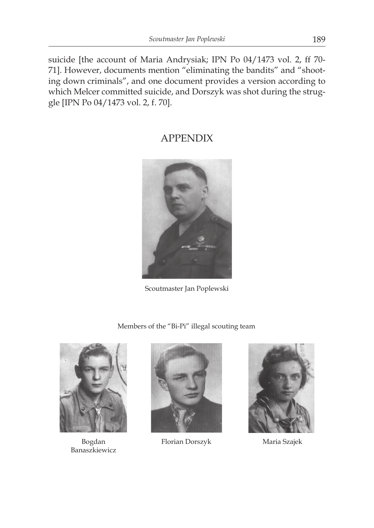suicide [the account of Maria Andrysiak; IPN Po 04/1473 vol. 2, ff 70- 71]. However, documents mention "eliminating the bandits" and "shooting down criminals", and one document provides a version according to which Melcer committed suicide, and Dorszyk was shot during the struggle [IPN Po 04/1473 vol. 2, f. 70].

## APPENDIX



Scoutmaster Jan Poplewski

Members of the "Bi-Pi" illegal scouting team



Banaszkiewicz



Bogdan Florian Dorszyk



Maria Szajek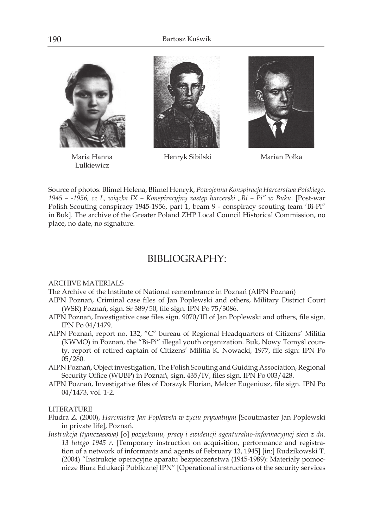

Maria Hanna Lulkiewicz



Henryk Sibilski Marian Połka



Source of photos: Blimel Helena, Blimel Henryk, *Powojenna Konspiracja Harcerstwa Polskiego. 1945 – -1956, cz I., wiązka IX – Konspiracyjny zastęp harcerski "Bi – Pi" w Buku*. [Post-war Polish Scouting conspiracy 1945-1956, part 1, beam 9 - conspiracy scouting team 'Bi-Pi" in Buk]. The archive of the Greater Poland ZHP Local Council Historical Commission, no place, no date, no signature.

### BIBLIOGRAPHY:

#### ARCHIVE MATERIALS

- The Archive of the Institute of National remembrance in Poznań (AIPN Poznań)
- AIPN Poznań, Criminal case files of Jan Poplewski and others, Military District Court (WSR) Poznań, sign. Sr 389/50, file sign. IPN Po 75/3086.
- AIPN Poznań, Investigative case files sign. 9070/III of Jan Poplewski and others, file sign. IPN Po 04/1479.
- AIPN Poznań, report no. 132, "C" bureau of Regional Headquarters of Citizens' Militia (KWMO) in Poznań, the "Bi-Pi" illegal youth organization. Buk, Nowy Tomyśl county, report of retired captain of Citizens' Militia K. Nowacki, 1977, file sign: IPN Po 05/280.
- AIPN Poznań, Object investigation, The Polish Scouting and Guiding Association, Regional Security Office (WUBP) in Poznań, sign. 435/IV, files sign. IPN Po 003/428.
- AIPN Poznań, Investigative files of Dorszyk Florian, Melcer Eugeniusz, file sign. IPN Po 04/1473, vol. 1-2.

#### LITERATURE

- Fludra Z. (2000), *Harcmistrz Jan Poplewski w życiu prywatnym* [Scoutmaster Jan Poplewski in private life], Poznań.
- *Instrukcja (tymczasowa)* [o] *pozyskaniu, pracy i ewidencji agenturalno-informacyjnej sieci z dn. 13 lutego 1945 r.* [Temporary instruction on acquisition, performance and registration of a network of informants and agents of February 13, 1945] [in:] Rudzikowski T. (2004) "Instrukcje operacyjne aparatu bezpieczeństwa (1945-1989): Materiały pomocnicze Biura Edukacji Publicznej IPN" [Operational instructions of the security services